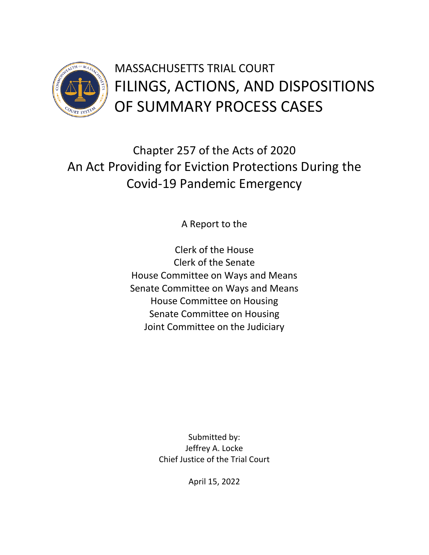

Chapter 257 of the Acts of 2020 An Act Providing for Eviction Protections During the Covid-19 Pandemic Emergency

A Report to the

Clerk of the House Clerk of the Senate House Committee on Ways and Means Senate Committee on Ways and Means House Committee on Housing Senate Committee on Housing Joint Committee on the Judiciary

> Submitted by: Jeffrey A. Locke Chief Justice of the Trial Court

> > April 15, 2022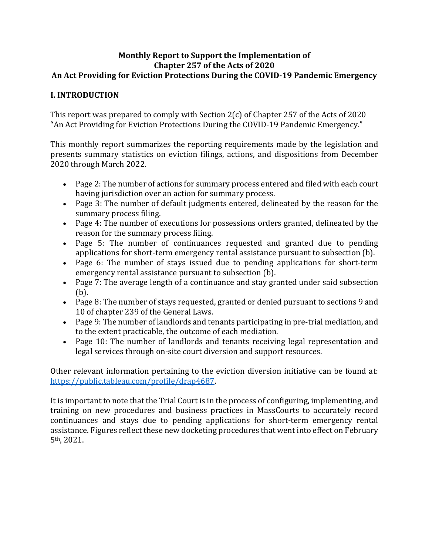#### **Monthly Report to Support the Implementation of Chapter 257 of the Acts of 2020 An Act Providing for Eviction Protections During the COVID-19 Pandemic Emergency**

#### **I. INTRODUCTION**

This report was prepared to comply with Section 2(c) of Chapter 257 of the Acts of 2020 "An Act Providing for Eviction Protections During the COVID-19 Pandemic Emergency."

This monthly report summarizes the reporting requirements made by the legislation and presents summary statistics on eviction filings, actions, and dispositions from December 2020 through March 2022.

- Page 2: The number of actions for summary process entered and filed with each court having jurisdiction over an action for summary process.
- Page 3: The number of default judgments entered, delineated by the reason for the summary process filing.
- Page 4: The number of executions for possessions orders granted, delineated by the reason for the summary process filing.
- Page 5: The number of continuances requested and granted due to pending applications for short-term emergency rental assistance pursuant to subsection (b).
- Page 6: The number of stays issued due to pending applications for short-term emergency rental assistance pursuant to subsection (b).
- Page 7: The average length of a continuance and stay granted under said subsection (b).
- Page 8: The number of stays requested, granted or denied pursuant to sections 9 and 10 of chapter 239 of the General Laws.
- Page 9: The number of landlords and tenants participating in pre-trial mediation, and to the extent practicable, the outcome of each mediation.
- Page 10: The number of landlords and tenants receiving legal representation and legal services through on-site court diversion and support resources.

Other relevant information pertaining to the eviction diversion initiative can be found at: [https://public.tableau.com/profile/drap4687.](https://public.tableau.com/profile/drap4687) 

It is important to note that the Trial Court is in the process of configuring, implementing, and training on new procedures and business practices in MassCourts to accurately record continuances and stays due to pending applications for short-term emergency rental assistance. Figures reflect these new docketing procedures that went into effect on February 5th, 2021.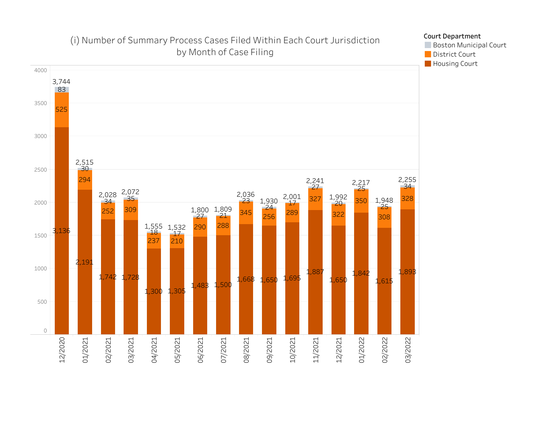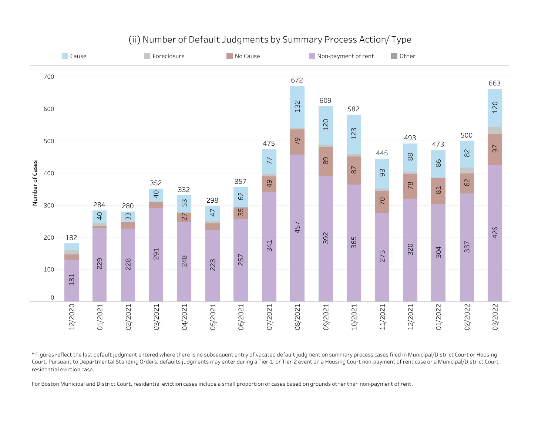

# (ii) Number of Default Judgments by Summary Process Action/Type

\*Figures reflect the last default judgment entered where there is no subsequent entry of vacated default judgment on summary process cases filed in Municipal/District Court or Housing Court. Pursuant to Departmental Standing Orders, defaults judgments may enter during a Tier-1 or Tier-2 event on a Housing Court non-payment of rent case or a Municipal/District Court residential eviction case.

For Boston Municipal and District Court, residential eviction cases include a small proportion of cases based on grounds other than non-payment of rent.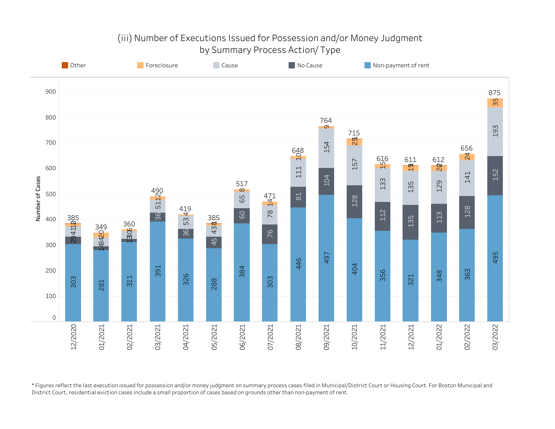# (iii) Number of Executions Issued for Possession and/or Money Judgment by Summary Process Action/ Type



\*Figures reflect the last execution issued for possession and/or money judgment on summary process cases filed in Municipal/District Court or Housing Court. For Boston Municipal and District Court, residential eviction cases include a small proportion of cases based on grounds other than non-payment of rent.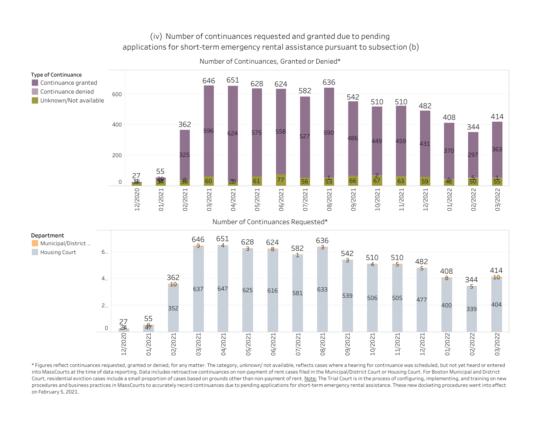#### (iv) Number of continuances requested and granted due to pending applications for short-term emergency rental assistance pursuant to subsection (b)



Number of Continuances, Granted or Denied\*

Number of Continuances Requested\*



\*Figures reflect continuances requested, granted or denied, for any matter. The category, unknown/ not available, reflects cases where a hearing for continuance was scheduled, but not yet heard or entered into MassCourts at the time of data reporting. Data includes retroactive continuances on non-payment of rent cases filed in the Municipal/District Court or Housing Court. For Boston Municipal and District Court, residential eviction cases include a small proportion of cases based on grounds other than non-payment of rent. Note: The Trial Court is in the process of configuring, implementing, and training on new procedures and business practices in MassCourts to accurately record continuances due to pending applications for short-term emergency rental assistance. These new docketing procedures went into effect on February 5, 2021.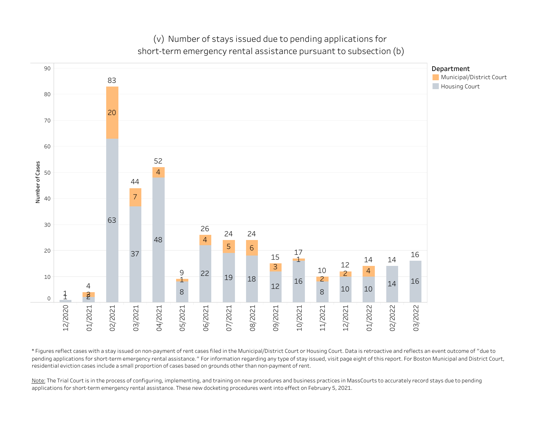(v) Number of stays issued due to pending applications for short-term emergency rental assistance pursuant to subsection (b)



\*Figuresreflectcaseswithastayissuedonnon-paymentofrentcasesfiledintheMunicipal/DistrictCourtorHousingCourt.Dataisretroactiveandreflectsaneventoutcomeof"dueto pending applications for short-term emergency rental assistance." For information regarding any type of stay issued, visit page eight of this report. For Boston Municipal and District Court, residential eviction cases include a small proportion of cases based on grounds other than non-payment of rent.

Note: The Trial Court is in the process of configuring, implementing, and training on new procedures and business practices in MassCourts to accurately record stays due to pending applications for short-term emergency rental assistance. These new docketing procedures went into effect on February 5, 2021.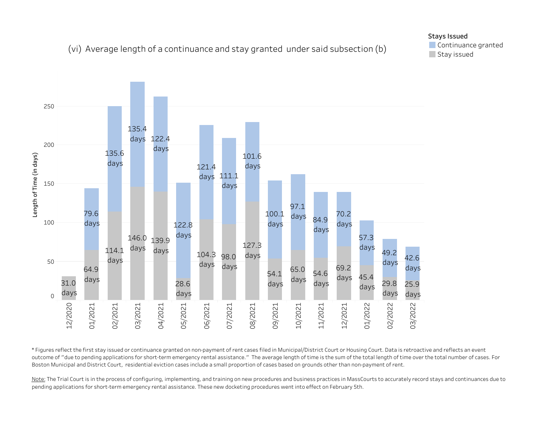## (vi) Average length of a continuance and stay granted under said subsection (b)



\*Figures reflect the first stay issued or continuance granted on non-payment of rent cases filed in Municipal/District Court or Housing Court. Data is retroactive and reflects an event outcome of "due to pending applications for short-term emergency rental assistance." The average length of time is the sum of the total length of time over the total number of cases. For Boston Municipal and District Court, residential eviction cases include a small proportion of cases based on grounds other than non-payment of rent.

Note: The Trial Court is in the process of configuring, implementing, and training on new procedures and business practices in MassCourts to accurately record stays and continuances due to pending applications for short-term emergency rental assistance. These new docketing procedures went into effect on February 5th.

### Stays Issued

Continuance granted Stay issued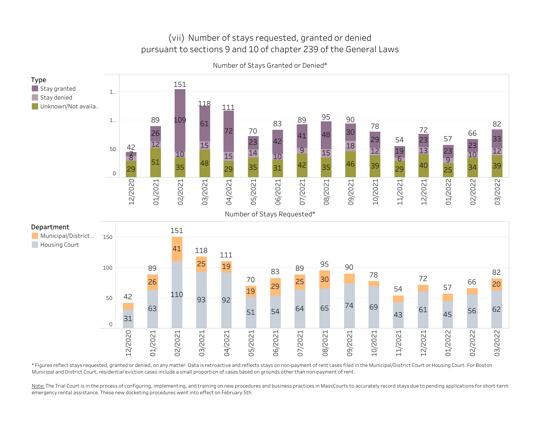# (vii) Number of stays requested, granted or denied pursuant to sections 9 and 10 of chapter 239 of the General Laws



Number of Stays Granted or Denied\*

\*Figures reflect stays requested, granted or denied, on any matter. Data is retroactive and reflects stays on non-payment of rent cases filed in the Municipal/District Court or Housing Court. For Boston Municipal and District Court, residential eviction cases include a small proportion of cases based on grounds other than non-payment of rent.

Note: The Trial Court is in the process of configuring, implementing, and training on new procedures and business practices in MassCourts to accurately record stays due to pending applications for short-term emergency rental assistance. These new docketing procedures went into effect on February 5th.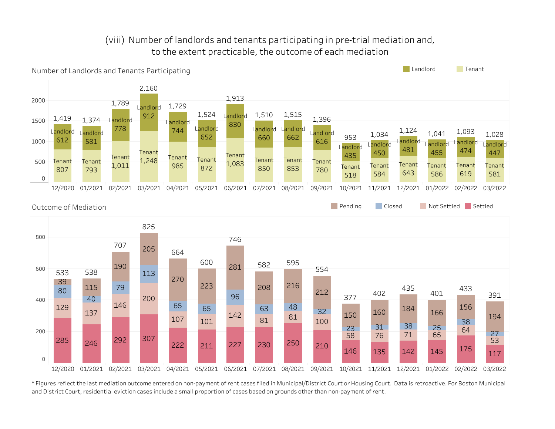# (viii) Number of landlords and tenants participating in pre-trial mediation and, to the extent practicable, the outcome of each mediation



\*Figures reflect the last mediation outcome entered on non-payment of rent cases filed in Municipal/District Court or Housing Court. Data is retroactive. For Boston Municipal and District Court, residential eviction cases include a small proportion of cases based on grounds other than non-payment of rent.